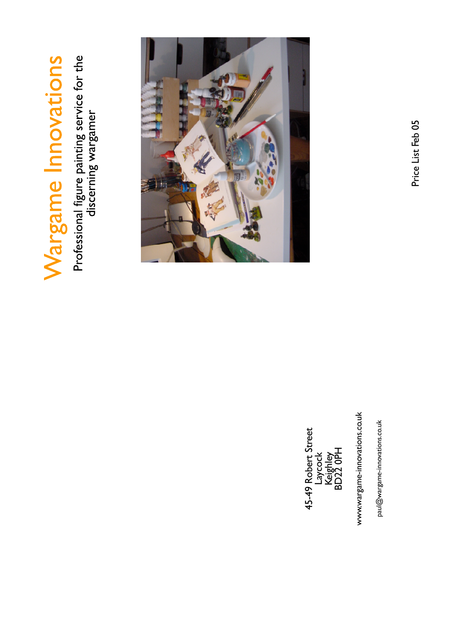Wargame Innovations

Professional figure painting service for the<br>discerning wargamer



paul@wargame-innovations.co.uk

www.wargame-innovations.co.uk



Price List Feb 05